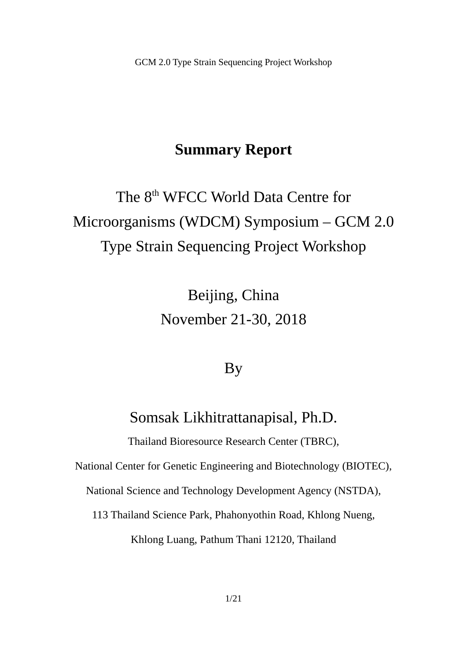# **Summary Report**

# The 8<sup>th</sup> WFCC World Data Centre for Microorganisms (WDCM) Symposium – GCM 2.0 Type Strain Sequencing Project Workshop

Beijing, China November 21-30, 2018

# By

Somsak Likhitrattanapisal, Ph.D.

Thailand Bioresource Research Center (TBRC),

National Center for Genetic Engineering and Biotechnology (BIOTEC),

National Science and Technology Development Agency (NSTDA),

113 Thailand Science Park, Phahonyothin Road, Khlong Nueng,

Khlong Luang, Pathum Thani 12120, Thailand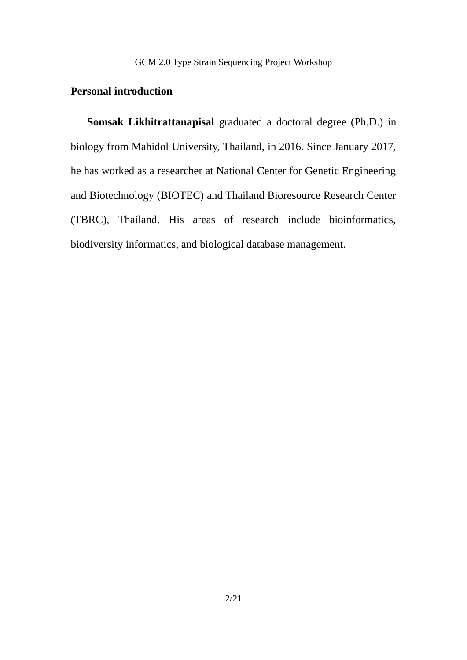# **Personal introduction**

**Somsak Likhitrattanapisal** graduated a doctoral degree (Ph.D.) in biology from Mahidol University, Thailand, in 2016. Since January 2017, he has worked as a researcher at National Center for Genetic Engineering and Biotechnology (BIOTEC) and Thailand Bioresource Research Center (TBRC), Thailand. His areas of research include bioinformatics, biodiversity informatics, and biological database management.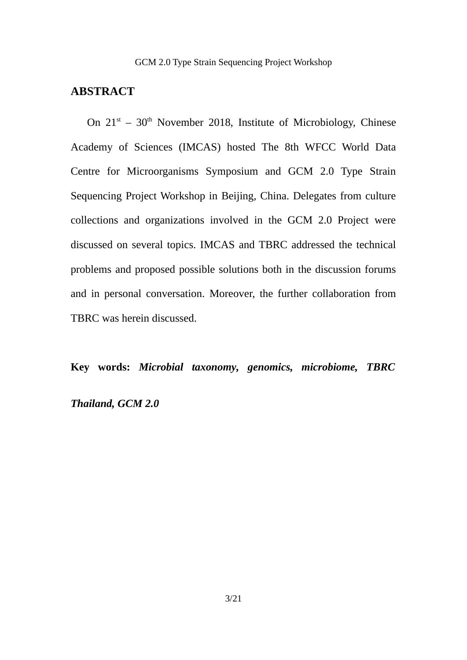# **ABSTRACT**

On  $21^{st}$  –  $30^{th}$  November 2018, Institute of Microbiology, Chinese Academy of Sciences (IMCAS) hosted The 8th WFCC World Data Centre for Microorganisms Symposium and GCM 2.0 Type Strain Sequencing Project Workshop in Beijing, China. Delegates from culture collections and organizations involved in the GCM 2.0 Project were discussed on several topics. IMCAS and TBRC addressed the technical problems and proposed possible solutions both in the discussion forums and in personal conversation. Moreover, the further collaboration from TBRC was herein discussed.

**Key words:** *Microbial taxonomy, genomics, microbiome, TBRC*

# *Thailand, GCM 2.0*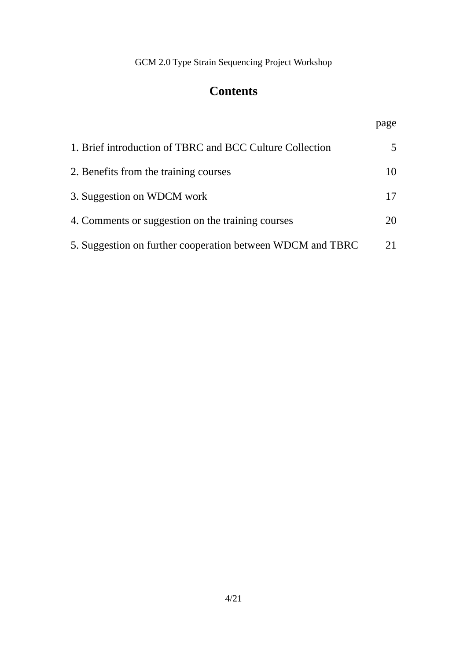# **Contents**

| 1. Brief introduction of TBRC and BCC Culture Collection   | 5. |
|------------------------------------------------------------|----|
| 2. Benefits from the training courses                      | 10 |
| 3. Suggestion on WDCM work                                 | 17 |
| 4. Comments or suggestion on the training courses          | 20 |
| 5. Suggestion on further cooperation between WDCM and TBRC | 21 |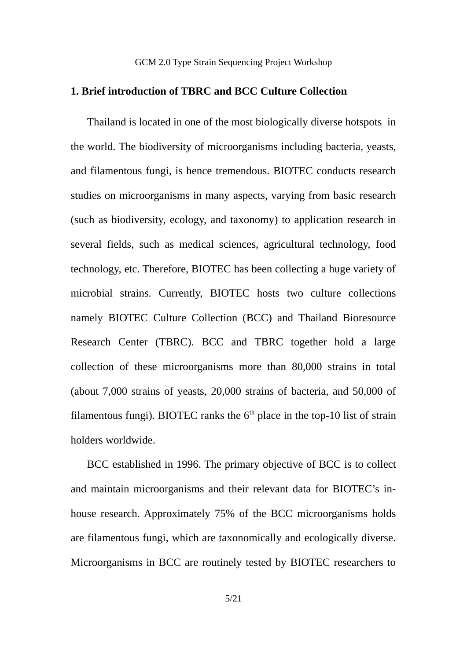# **1. Brief introduction of TBRC and BCC Culture Collection**

Thailand is located in one of the most biologically diverse hotspots in the world. The biodiversity of microorganisms including bacteria, yeasts, and filamentous fungi, is hence tremendous. BIOTEC conducts research studies on microorganisms in many aspects, varying from basic research (such as biodiversity, ecology, and taxonomy) to application research in several fields, such as medical sciences, agricultural technology, food technology, etc. Therefore, BIOTEC has been collecting a huge variety of microbial strains. Currently, BIOTEC hosts two culture collections namely BIOTEC Culture Collection (BCC) and Thailand Bioresource Research Center (TBRC). BCC and TBRC together hold a large collection of these microorganisms more than 80,000 strains in total (about 7,000 strains of yeasts, 20,000 strains of bacteria, and 50,000 of filamentous fungi). BIOTEC ranks the  $6<sup>th</sup>$  place in the top-10 list of strain holders worldwide.

BCC established in 1996. The primary objective of BCC is to collect and maintain microorganisms and their relevant data for BIOTEC's inhouse research. Approximately 75% of the BCC microorganisms holds are filamentous fungi, which are taxonomically and ecologically diverse. Microorganisms in BCC are routinely tested by BIOTEC researchers to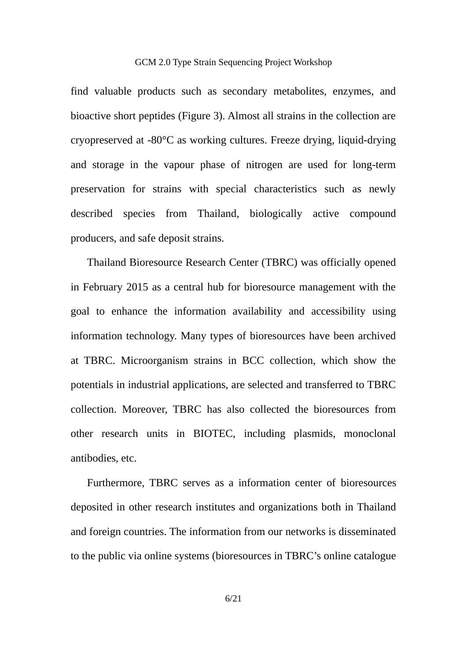find valuable products such as secondary metabolites, enzymes, and bioactive short peptides (Figure 3). Almost all strains in the collection are cryopreserved at -80°C as working cultures. Freeze drying, liquid-drying and storage in the vapour phase of nitrogen are used for long-term preservation for strains with special characteristics such as newly described species from Thailand, biologically active compound producers, and safe deposit strains.

Thailand Bioresource Research Center (TBRC) was officially opened in February 2015 as a central hub for bioresource management with the goal to enhance the information availability and accessibility using information technology. Many types of bioresources have been archived at TBRC. Microorganism strains in BCC collection, which show the potentials in industrial applications, are selected and transferred to TBRC collection. Moreover, TBRC has also collected the bioresources from other research units in BIOTEC, including plasmids, monoclonal antibodies, etc.

Furthermore, TBRC serves as a information center of bioresources deposited in other research institutes and organizations both in Thailand and foreign countries. The information from our networks is disseminated to the public via online systems (bioresources in TBRC's online catalogue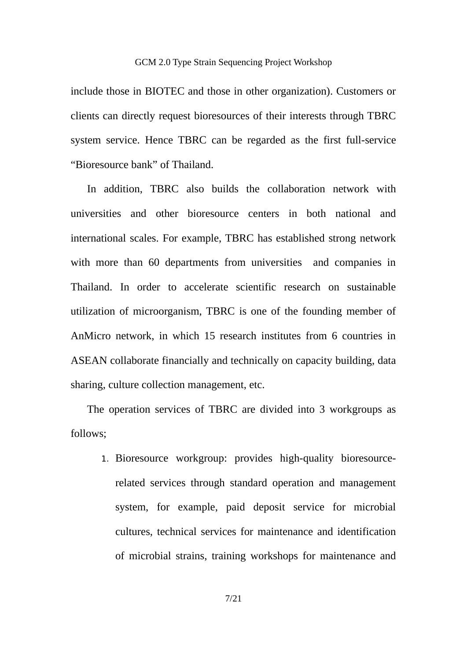include those in BIOTEC and those in other organization). Customers or clients can directly request bioresources of their interests through TBRC system service. Hence TBRC can be regarded as the first full-service "Bioresource bank" of Thailand.

In addition, TBRC also builds the collaboration network with universities and other bioresource centers in both national and international scales. For example, TBRC has established strong network with more than 60 departments from universities and companies in Thailand. In order to accelerate scientific research on sustainable utilization of microorganism, TBRC is one of the founding member of AnMicro network, in which 15 research institutes from 6 countries in ASEAN collaborate financially and technically on capacity building, data sharing, culture collection management, etc.

The operation services of TBRC are divided into 3 workgroups as follows;

1. Bioresource workgroup: provides high-quality bioresourcerelated services through standard operation and management system, for example, paid deposit service for microbial cultures, technical services for maintenance and identification of microbial strains, training workshops for maintenance and

7/21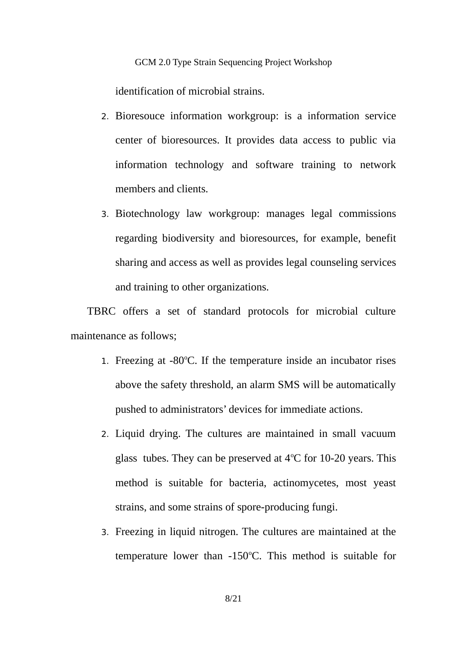identification of microbial strains.

- 2. Bioresouce information workgroup: is a information service center of bioresources. It provides data access to public via information technology and software training to network members and clients.
- 3. Biotechnology law workgroup: manages legal commissions regarding biodiversity and bioresources, for example, benefit sharing and access as well as provides legal counseling services and training to other organizations.

TBRC offers a set of standard protocols for microbial culture maintenance as follows;

- 1. Freezing at  $-80^{\circ}$ C. If the temperature inside an incubator rises above the safety threshold, an alarm SMS will be automatically pushed to administrators' devices for immediate actions.
- 2. Liquid drying. The cultures are maintained in small vacuum glass tubes. They can be preserved at  $4^{\circ}$ C for 10-20 years. This method is suitable for bacteria, actinomycetes, most yeast strains, and some strains of spore-producing fungi.
- 3. Freezing in liquid nitrogen. The cultures are maintained at the temperature lower than -150 $^{\circ}$ C. This method is suitable for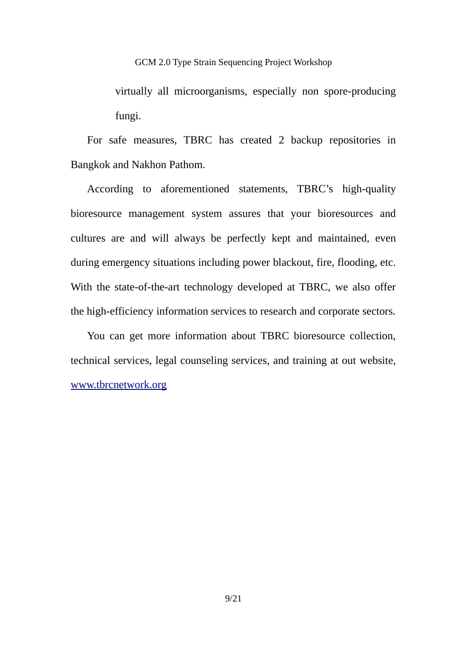virtually all microorganisms, especially non spore-producing fungi.

For safe measures, TBRC has created 2 backup repositories in Bangkok and Nakhon Pathom.

According to aforementioned statements, TBRC's high-quality bioresource management system assures that your bioresources and cultures are and will always be perfectly kept and maintained, even during emergency situations including power blackout, fire, flooding, etc. With the state-of-the-art technology developed at TBRC, we also offer the high-efficiency information services to research and corporate sectors.

You can get more information about TBRC bioresource collection, technical services, legal counseling services, and training at out website, [www.tbrcnetwork.org](http://www.tbrcnetwork.org/)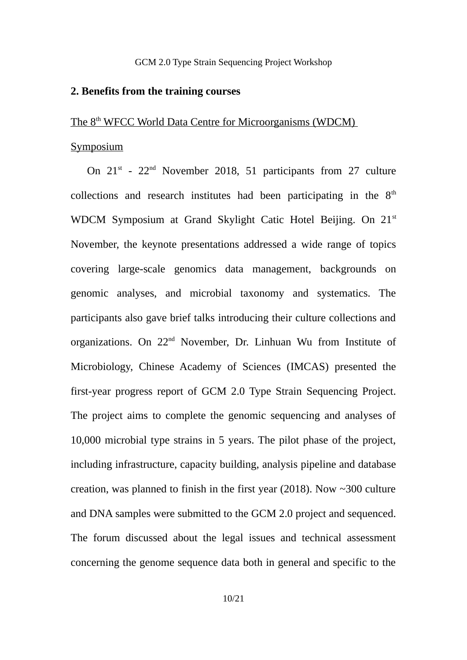### **2. Benefits from the training courses**

# The 8<sup>th</sup> WFCC World Data Centre for Microorganisms (WDCM)

### Symposium

On  $21^{st}$  -  $22^{nd}$  November 2018, 51 participants from 27 culture collections and research institutes had been participating in the  $8<sup>th</sup>$ WDCM Symposium at Grand Skylight Catic Hotel Beijing. On 21<sup>st</sup> November, the keynote presentations addressed a wide range of topics covering large-scale genomics data management, backgrounds on genomic analyses, and microbial taxonomy and systematics. The participants also gave brief talks introducing their culture collections and organizations. On 22nd November, Dr. Linhuan Wu from Institute of Microbiology, Chinese Academy of Sciences (IMCAS) presented the first-year progress report of GCM 2.0 Type Strain Sequencing Project. The project aims to complete the genomic sequencing and analyses of 10,000 microbial type strains in 5 years. The pilot phase of the project, including infrastructure, capacity building, analysis pipeline and database creation, was planned to finish in the first year (2018). Now ~300 culture and DNA samples were submitted to the GCM 2.0 project and sequenced. The forum discussed about the legal issues and technical assessment concerning the genome sequence data both in general and specific to the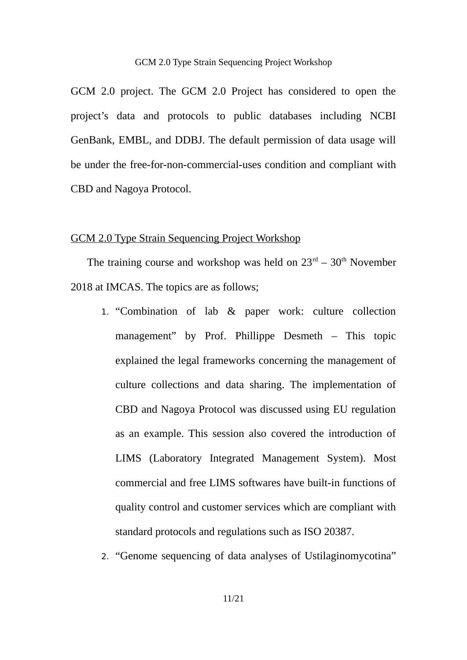GCM 2.0 project. The GCM 2.0 Project has considered to open the project's data and protocols to public databases including NCBI GenBank, EMBL, and DDBJ. The default permission of data usage will be under the free-for-non-commercial-uses condition and compliant with CBD and Nagoya Protocol.

## GCM 2.0 Type Strain Sequencing Project Workshop

The training course and workshop was held on  $23<sup>rd</sup> - 30<sup>th</sup>$  November 2018 at IMCAS. The topics are as follows;

- 1. "Combination of lab & paper work: culture collection management" by Prof. Phillippe Desmeth – This topic explained the legal frameworks concerning the management of culture collections and data sharing. The implementation of CBD and Nagoya Protocol was discussed using EU regulation as an example. This session also covered the introduction of LIMS (Laboratory Integrated Management System). Most commercial and free LIMS softwares have built-in functions of quality control and customer services which are compliant with standard protocols and regulations such as ISO 20387.
- 2. "Genome sequencing of data analyses of Ustilaginomycotina"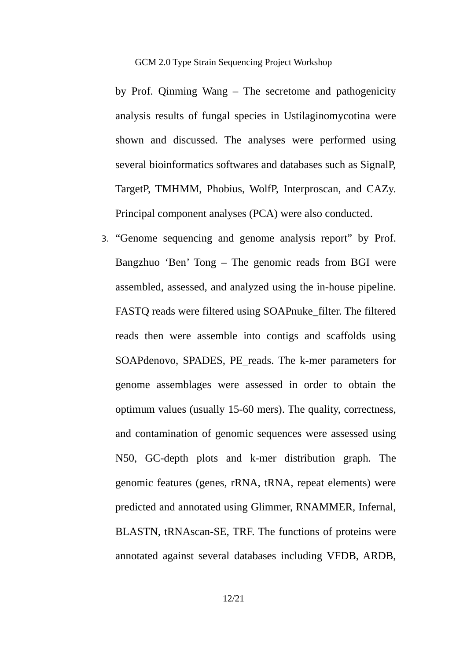by Prof. Qinming Wang – The secretome and pathogenicity analysis results of fungal species in Ustilaginomycotina were shown and discussed. The analyses were performed using several bioinformatics softwares and databases such as SignalP, TargetP, TMHMM, Phobius, WolfP, Interproscan, and CAZy. Principal component analyses (PCA) were also conducted.

3. "Genome sequencing and genome analysis report" by Prof. Bangzhuo 'Ben' Tong – The genomic reads from BGI were assembled, assessed, and analyzed using the in-house pipeline. FASTQ reads were filtered using SOAPnuke\_filter. The filtered reads then were assemble into contigs and scaffolds using SOAPdenovo, SPADES, PE\_reads. The k-mer parameters for genome assemblages were assessed in order to obtain the optimum values (usually 15-60 mers). The quality, correctness, and contamination of genomic sequences were assessed using N50, GC-depth plots and k-mer distribution graph. The genomic features (genes, rRNA, tRNA, repeat elements) were predicted and annotated using Glimmer, RNAMMER, Infernal, BLASTN, tRNAscan-SE, TRF. The functions of proteins were annotated against several databases including VFDB, ARDB,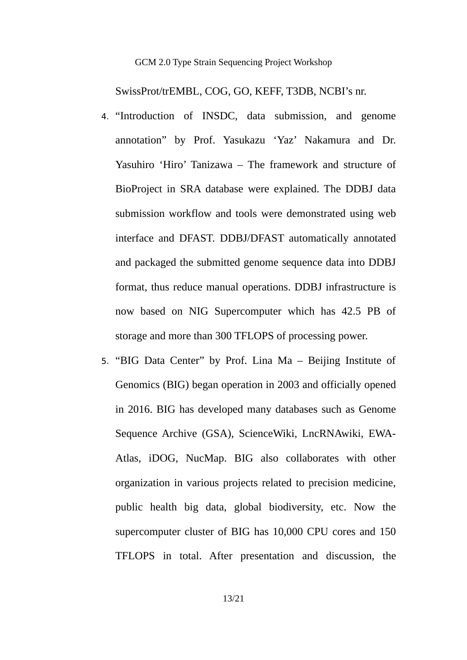SwissProt/trEMBL, COG, GO, KEFF, T3DB, NCBI's nr.

- 4. "Introduction of INSDC, data submission, and genome annotation" by Prof. Yasukazu 'Yaz' Nakamura and Dr. Yasuhiro 'Hiro' Tanizawa – The framework and structure of BioProject in SRA database were explained. The DDBJ data submission workflow and tools were demonstrated using web interface and DFAST. DDBJ/DFAST automatically annotated and packaged the submitted genome sequence data into DDBJ format, thus reduce manual operations. DDBJ infrastructure is now based on NIG Supercomputer which has 42.5 PB of storage and more than 300 TFLOPS of processing power.
- 5. "BIG Data Center" by Prof. Lina Ma Beijing Institute of Genomics (BIG) began operation in 2003 and officially opened in 2016. BIG has developed many databases such as Genome Sequence Archive (GSA), ScienceWiki, LncRNAwiki, EWA-Atlas, iDOG, NucMap. BIG also collaborates with other organization in various projects related to precision medicine, public health big data, global biodiversity, etc. Now the supercomputer cluster of BIG has 10,000 CPU cores and 150 TFLOPS in total. After presentation and discussion, the

13/21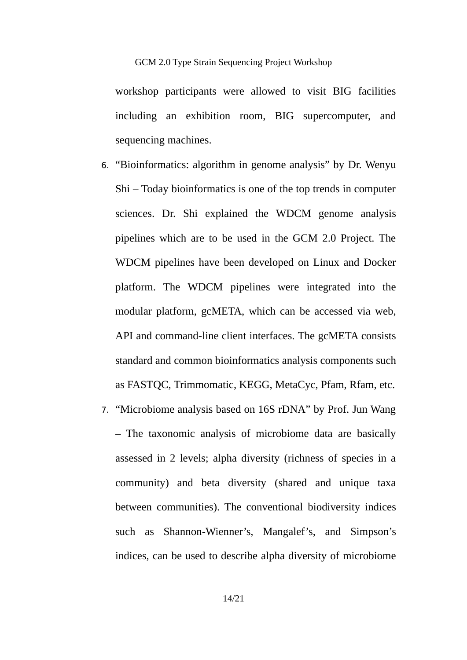workshop participants were allowed to visit BIG facilities including an exhibition room, BIG supercomputer, and sequencing machines.

- 6. "Bioinformatics: algorithm in genome analysis" by Dr. Wenyu Shi – Today bioinformatics is one of the top trends in computer sciences. Dr. Shi explained the WDCM genome analysis pipelines which are to be used in the GCM 2.0 Project. The WDCM pipelines have been developed on Linux and Docker platform. The WDCM pipelines were integrated into the modular platform, gcMETA, which can be accessed via web, API and command-line client interfaces. The gcMETA consists standard and common bioinformatics analysis components such as FASTQC, Trimmomatic, KEGG, MetaCyc, Pfam, Rfam, etc.
- 7. "Microbiome analysis based on 16S rDNA" by Prof. Jun Wang – The taxonomic analysis of microbiome data are basically assessed in 2 levels; alpha diversity (richness of species in a community) and beta diversity (shared and unique taxa between communities). The conventional biodiversity indices such as Shannon-Wienner's, Mangalef's, and Simpson's indices, can be used to describe alpha diversity of microbiome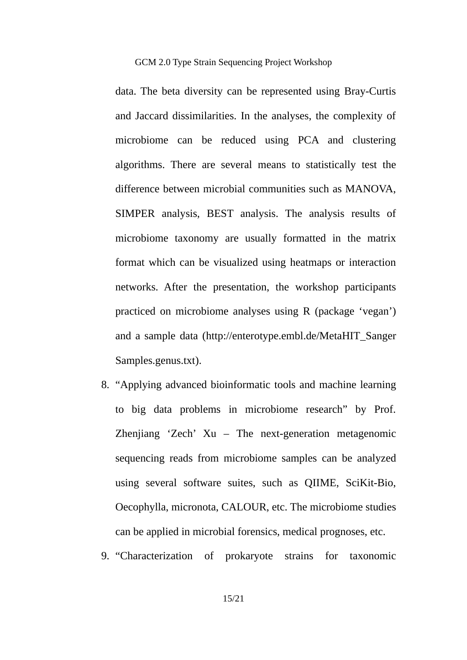data. The beta diversity can be represented using Bray-Curtis and Jaccard dissimilarities. In the analyses, the complexity of microbiome can be reduced using PCA and clustering algorithms. There are several means to statistically test the difference between microbial communities such as MANOVA, SIMPER analysis, BEST analysis. The analysis results of microbiome taxonomy are usually formatted in the matrix format which can be visualized using heatmaps or interaction networks. After the presentation, the workshop participants practiced on microbiome analyses using R (package 'vegan') and a sample data ([http://enterotype.embl.de/MetaHIT\\_Sanger](http://enterotype.embl.de/MetaHIT_Sanger) [Samples.genus.txt](http://enterotype.embl.de/MetaHIT_SangerSamples.genus.txt)).

- 8. "Applying advanced bioinformatic tools and machine learning to big data problems in microbiome research" by Prof. Zhenjiang 'Zech' Xu – The next-generation metagenomic sequencing reads from microbiome samples can be analyzed using several software suites, such as QIIME, SciKit-Bio, Oecophylla, micronota, CALOUR, etc. The microbiome studies can be applied in microbial forensics, medical prognoses, etc.
- 9. "Characterization of prokaryote strains for taxonomic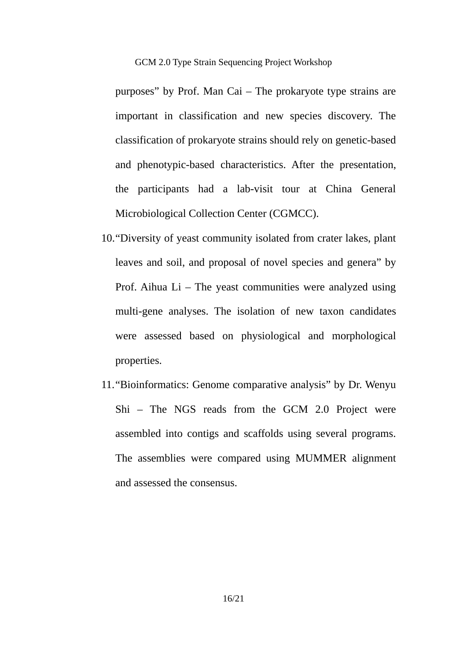purposes" by Prof. Man Cai – The prokaryote type strains are important in classification and new species discovery. The classification of prokaryote strains should rely on genetic-based and phenotypic-based characteristics. After the presentation, the participants had a lab-visit tour at China General Microbiological Collection Center (CGMCC).

- 10."Diversity of yeast community isolated from crater lakes, plant leaves and soil, and proposal of novel species and genera" by Prof. Aihua  $Li$  – The yeast communities were analyzed using multi-gene analyses. The isolation of new taxon candidates were assessed based on physiological and morphological properties.
- 11."Bioinformatics: Genome comparative analysis" by Dr. Wenyu Shi – The NGS reads from the GCM 2.0 Project were assembled into contigs and scaffolds using several programs. The assemblies were compared using MUMMER alignment and assessed the consensus.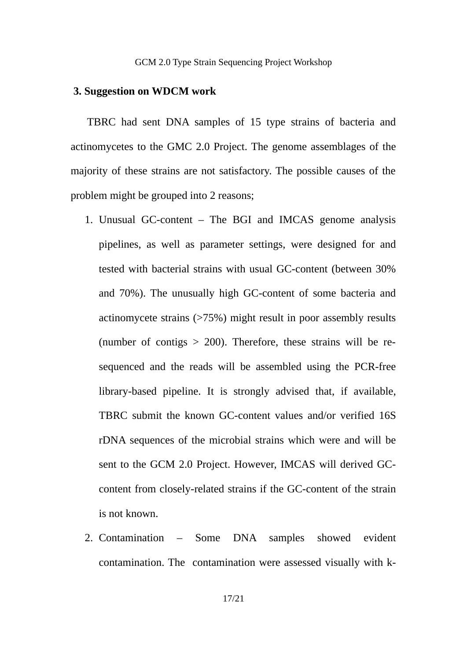### **3. Suggestion on WDCM work**

TBRC had sent DNA samples of 15 type strains of bacteria and actinomycetes to the GMC 2.0 Project. The genome assemblages of the majority of these strains are not satisfactory. The possible causes of the problem might be grouped into 2 reasons;

- 1. Unusual GC-content The BGI and IMCAS genome analysis pipelines, as well as parameter settings, were designed for and tested with bacterial strains with usual GC-content (between 30% and 70%). The unusually high GC-content of some bacteria and actinomycete strains (>75%) might result in poor assembly results (number of contigs  $> 200$ ). Therefore, these strains will be resequenced and the reads will be assembled using the PCR-free library-based pipeline. It is strongly advised that, if available, TBRC submit the known GC-content values and/or verified 16S rDNA sequences of the microbial strains which were and will be sent to the GCM 2.0 Project. However, IMCAS will derived GCcontent from closely-related strains if the GC-content of the strain is not known.
- 2. Contamination Some DNA samples showed evident contamination. The contamination were assessed visually with k-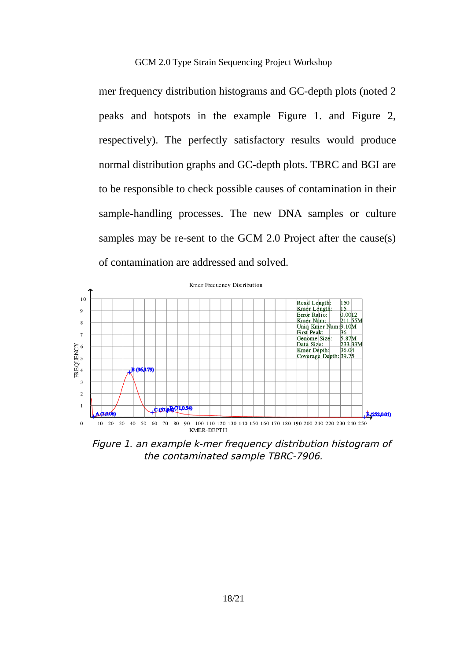GCM 2.0 Type Strain Sequencing Project Workshop

mer frequency distribution histograms and GC-depth plots (noted 2 peaks and hotspots in the example Figure 1. and Figure 2, respectively). The perfectly satisfactory results would produce normal distribution graphs and GC-depth plots. TBRC and BGI are to be responsible to check possible causes of contamination in their sample-handling processes. The new DNA samples or culture samples may be re-sent to the GCM 2.0 Project after the cause(s) of contamination are addressed and solved.



Figure 1. an example k-mer frequency distribution histogram of the contaminated sample TBRC-7906.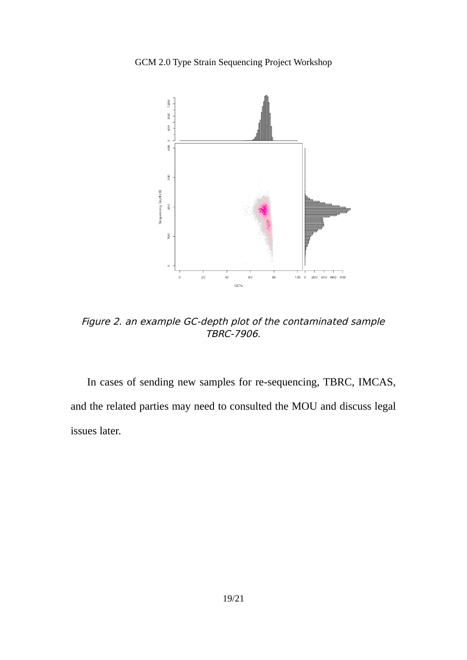GCM 2.0 Type Strain Sequencing Project Workshop



Figure 2. an example GC-depth plot of the contaminated sample TBRC-7906.

In cases of sending new samples for re-sequencing, TBRC, IMCAS, and the related parties may need to consulted the MOU and discuss legal issues later.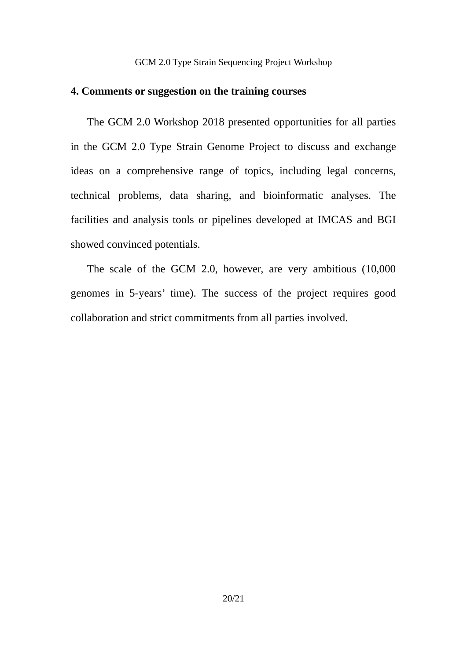# **4. Comments or suggestion on the training courses**

The GCM 2.0 Workshop 2018 presented opportunities for all parties in the GCM 2.0 Type Strain Genome Project to discuss and exchange ideas on a comprehensive range of topics, including legal concerns, technical problems, data sharing, and bioinformatic analyses. The facilities and analysis tools or pipelines developed at IMCAS and BGI showed convinced potentials.

The scale of the GCM 2.0, however, are very ambitious (10,000 genomes in 5-years' time). The success of the project requires good collaboration and strict commitments from all parties involved.